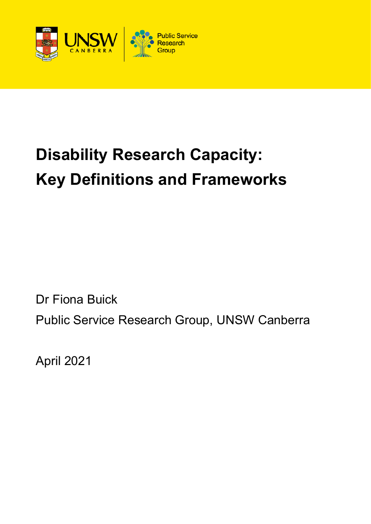

# **Disability Research Capacity: Key Definitions and Frameworks**

Dr Fiona Buick

Public Service Research Group, UNSW Canberra

April 2021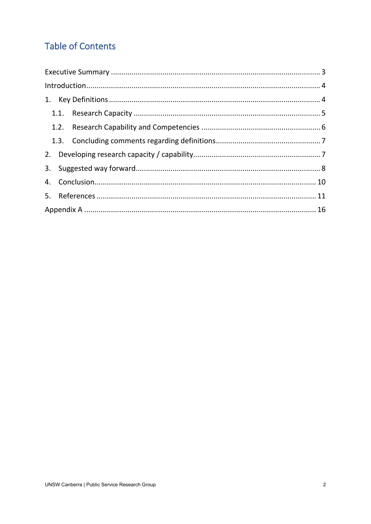# **Table of Contents**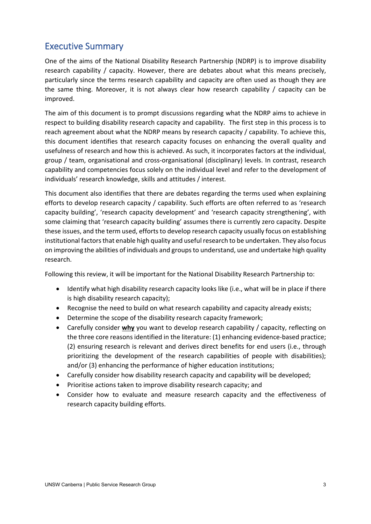#### <span id="page-2-0"></span>Executive Summary

One of the aims of the National Disability Research Partnership (NDRP) is to improve disability research capability / capacity. However, there are debates about what this means precisely, particularly since the terms research capability and capacity are often used as though they are the same thing. Moreover, it is not always clear how research capability / capacity can be improved.

The aim of this document is to prompt discussions regarding what the NDRP aims to achieve in respect to building disability research capacity and capability. The first step in this process is to reach agreement about what the NDRP means by research capacity / capability. To achieve this, this document identifies that research capacity focuses on enhancing the overall quality and usefulness of research and how this is achieved. As such, it incorporates factors at the individual, group / team, organisational and cross-organisational (disciplinary) levels. In contrast, research capability and competencies focus solely on the individual level and refer to the development of individuals' research knowledge, skills and attitudes / interest.

This document also identifies that there are debates regarding the terms used when explaining efforts to develop research capacity / capability. Such efforts are often referred to as 'research capacity building', 'research capacity development' and 'research capacity strengthening', with some claiming that 'research capacity building' assumes there is currently zero capacity. Despite these issues, and the term used, efforts to develop research capacity usually focus on establishing institutional factors that enable high quality and useful research to be undertaken. They also focus on improving the abilities of individuals and groups to understand, use and undertake high quality research.

Following this review, it will be important for the National Disability Research Partnership to:

- Identify what high disability research capacity looks like (i.e., what will be in place if there is high disability research capacity);
- Recognise the need to build on what research capability and capacity already exists;
- Determine the scope of the disability research capacity framework;
- Carefully consider **why** you want to develop research capability / capacity, reflecting on the three core reasons identified in the literature: (1) enhancing evidence-based practice; (2) ensuring research is relevant and derives direct benefits for end users (i.e., through prioritizing the development of the research capabilities of people with disabilities); and/or (3) enhancing the performance of higher education institutions;
- Carefully consider how disability research capacity and capability will be developed;
- Prioritise actions taken to improve disability research capacity; and
- Consider how to evaluate and measure research capacity and the effectiveness of research capacity building efforts.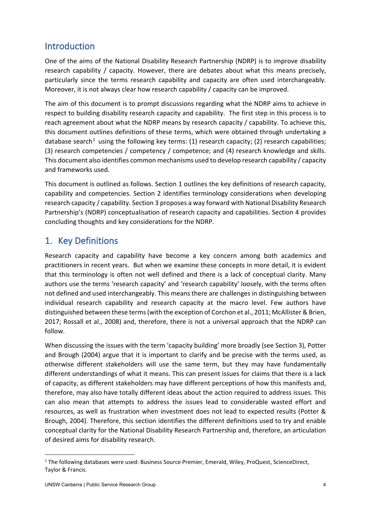#### <span id="page-3-0"></span>Introduction

One of the aims of the National Disability Research Partnership (NDRP) is to improve disability research capability / capacity. However, there are debates about what this means precisely, particularly since the terms research capability and capacity are often used interchangeably. Moreover, it is not always clear how research capability / capacity can be improved.

The aim of this document is to prompt discussions regarding what the NDRP aims to achieve in respect to building disability research capacity and capability. The first step in this process is to reach agreement about what the NDRP means by research capacity / capability. To achieve this, this document outlines definitions of these terms, which were obtained through undertaking a database search<sup>[1](#page-3-2)</sup> using the following key terms: (1) research capacity; (2) research capabilities; (3) research competencies / competency / competence; and (4) research knowledge and skills. This document also identifies common mechanisms used to develop research capability / capacity and frameworks used.

This document is outlined as follows. Section 1 outlines the key definitions of research capacity, capability and competencies. Section 2 identifies terminology considerations when developing research capacity / capability. Section 3 proposes a way forward with National Disability Research Partnership's (NDRP) conceptualisation of research capacity and capabilities. Section 4 provides concluding thoughts and key considerations for the NDRP.

### <span id="page-3-1"></span>1. Key Definitions

Research capacity and capability have become a key concern among both academics and practitioners in recent years. But when we examine these concepts in more detail, it is evident that this terminology is often not well defined and there is a lack of conceptual clarity. Many authors use the terms 'research capacity' and 'research capability' loosely, with the terms often not defined and used interchangeably. This means there are challenges in distinguishing between individual research capability and research capacity at the macro level. Few authors have distinguished between these terms (with the exception of Corchon et al., 2011; McAllister & Brien, 2017; Rossall et al., 2008) and, therefore, there is not a universal approach that the NDRP can follow.

When discussing the issues with the term 'capacity building' more broadly (see Section 3), Potter and Brough (2004) argue that it is important to clarify and be precise with the terms used, as otherwise different stakeholders will use the same term, but they may have fundamentally different understandings of what it means. This can present issues for claims that there is a lack of capacity, as different stakeholders may have different perceptions of how this manifests and, therefore, may also have totally different ideas about the action required to address issues. This can also mean that attempts to address the issues lead to considerable wasted effort and resources, as well as frustration when investment does not lead to expected results (Potter & Brough, 2004). Therefore, this section identifies the different definitions used to try and enable conceptual clarity for the National Disability Research Partnership and, therefore, an articulation of desired aims for disability research.

<span id="page-3-2"></span><sup>&</sup>lt;sup>1</sup> The following databases were used: Business Source Premier, Emerald, Wiley, ProQuest, ScienceDirect, Taylor & Francis.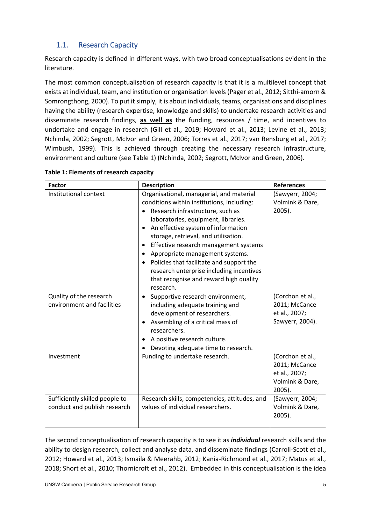#### <span id="page-4-0"></span>1.1. Research Capacity

Research capacity is defined in different ways, with two broad conceptualisations evident in the literature.

The most common conceptualisation of research capacity is that it is a multilevel concept that exists at individual, team, and institution or organisation levels (Pager et al., 2012; Sitthi-amorn & Somrongthong, 2000). To put it simply, it is about individuals, teams, organisations and disciplines having the ability (research expertise, knowledge and skills) to undertake research activities and disseminate research findings, **as well as** the funding, resources / time, and incentives to undertake and engage in research (Gill et al., 2019; Howard et al., 2013; Levine et al., 2013; Nchinda, 2002; Segrott, McIvor and Green, 2006; Torres et al., 2017; van Rensburg et al., 2017; Wimbush, 1999). This is achieved through creating the necessary research infrastructure, environment and culture (see Table 1) (Nchinda, 2002; Segrott, McIvor and Green, 2006).

| <b>Factor</b>                                                  | <b>Description</b>                                                                                                                                                                                                                                                                                                                                                                                                                                                                                                             | <b>References</b>                                                               |
|----------------------------------------------------------------|--------------------------------------------------------------------------------------------------------------------------------------------------------------------------------------------------------------------------------------------------------------------------------------------------------------------------------------------------------------------------------------------------------------------------------------------------------------------------------------------------------------------------------|---------------------------------------------------------------------------------|
| Institutional context                                          | Organisational, managerial, and material<br>conditions within institutions, including:<br>Research infrastructure, such as<br>laboratories, equipment, libraries.<br>An effective system of information<br>$\bullet$<br>storage, retrieval, and utilisation.<br>Effective research management systems<br>$\bullet$<br>Appropriate management systems.<br>$\bullet$<br>Policies that facilitate and support the<br>$\bullet$<br>research enterprise including incentives<br>that recognise and reward high quality<br>research. | (Sawyerr, 2004;<br>Volmink & Dare,<br>2005).                                    |
| Quality of the research<br>environment and facilities          | Supportive research environment,<br>$\bullet$<br>including adequate training and<br>development of researchers.<br>Assembling of a critical mass of<br>$\bullet$<br>researchers.<br>A positive research culture.<br>٠<br>Devoting adequate time to research.                                                                                                                                                                                                                                                                   | (Corchon et al.,<br>2011; McCance<br>et al., 2007;<br>Sawyerr, 2004).           |
| Investment                                                     | Funding to undertake research.                                                                                                                                                                                                                                                                                                                                                                                                                                                                                                 | (Corchon et al.,<br>2011; McCance<br>et al., 2007;<br>Volmink & Dare,<br>2005). |
| Sufficiently skilled people to<br>conduct and publish research | Research skills, competencies, attitudes, and<br>values of individual researchers.                                                                                                                                                                                                                                                                                                                                                                                                                                             | (Sawyerr, 2004;<br>Volmink & Dare,<br>2005).                                    |

|  | Table 1: Elements of research capacity |
|--|----------------------------------------|
|--|----------------------------------------|

The second conceptualisation of research capacity is to see it as *individual* research skills and the ability to design research, collect and analyse data, and disseminate findings (Carroll-Scott et al., 2012; Howard et al., 2013; Ismaila & Meerahb, 2012; Kania-Richmond et al., 2017; Matus et al., 2018; Short et al., 2010; Thornicroft et al., 2012). Embedded in this conceptualisation is the idea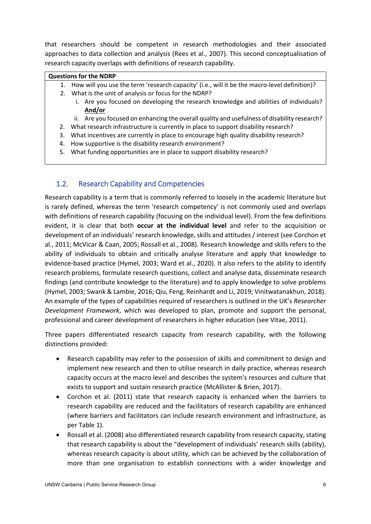that researchers should be competent in research methodologies and their associated approaches to data collection and analysis (Rees et al., 2007). This second conceptualisation of research capacity overlaps with definitions of research capability.

#### **Questions for the NDRP**

- 1. How will you use the term 'research capacity' (i.e., will it be the macro-level definition)?
- 2. What is the unit of analysis or focus for the NDRP?
	- i. Are you focused on developing the research knowledge and abilities of individuals? **And/or**
	- ii. Are you focused on enhancing the overall quality and usefulness of disability research?
- 2. What research infrastructure is currently in place to support disability research?
- 3. What incentives are currently in place to encourage high quality disability research?
- 4. How supportive is the disability research environment?
- 5. What funding opportunities are in place to support disability research?

#### <span id="page-5-0"></span>1.2. Research Capability and Competencies

Research capability is a term that is commonly referred to loosely in the academic literature but is rarely defined, whereas the term 'research competency' is not commonly used and overlaps with definitions of research capability (focusing on the individual level). From the few definitions evident, it is clear that both **occur at the individual level** and refer to the acquisition or development of an individuals' research knowledge, skills and attitudes / interest (see Corchon et al., 2011; McVicar & Caan, 2005; Rossall et al., 2008). Research knowledge and skills refers to the ability of individuals to obtain and critically analyse literature and apply that knowledge to evidence-based practice (Hymel, 2003; Ward et al., 2020). It also refers to the ability to identify research problems, formulate research questions, collect and analyse data, disseminate research findings (and contribute knowledge to the literature) and to apply knowledge to solve problems (Hymel, 2003; Swank & Lambie, 2016; Qiu, Feng, Reinhardt and Li, 2019; Vinitwatanakhun, 2018). An example of the types of capabilities required of researchers is outlined in the UK's *Researcher Development Framework*, which was developed to plan, promote and support the personal, professional and career development of researchers in higher education (see Vitae, 2011).

Three papers differentiated research capacity from research capability, with the following distinctions provided:

- Research capability may refer to the possession of skills and commitment to design and implement new research and then to utilise research in daily practice, whereas research capacity occurs at the macro level and describes the system's resources and culture that exists to support and sustain research practice (McAllister & Brien, 2017).
- Corchon et al. (2011) state that research capacity is enhanced when the barriers to research capability are reduced and the facilitators of research capability are enhanced (where barriers and facilitators can include research environment and infrastructure, as per Table 1).
- Rossall et al. (2008) also differentiated research capability from research capacity, stating that research capability is about the "development of individuals' research skills (ability), whereas research capacity is about utility, which can be achieved by the collaboration of more than one organisation to establish connections with a wider knowledge and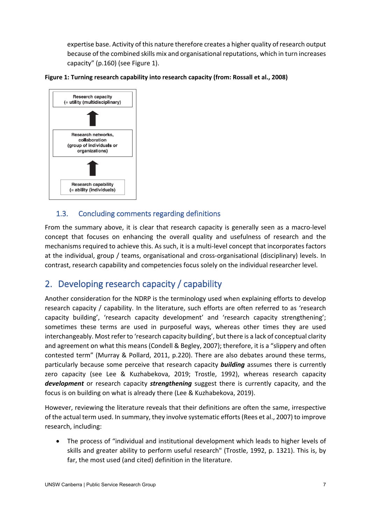expertise base. Activity of this nature therefore creates a higher quality of research output because of the combined skills mix and organisational reputations, which in turn increases capacity" (p.160) (see Figure 1).

**Figure 1: Turning research capability into research capacity (from: Rossall et al., 2008)**



#### <span id="page-6-0"></span>1.3. Concluding comments regarding definitions

From the summary above, it is clear that research capacity is generally seen as a macro-level concept that focuses on enhancing the overall quality and usefulness of research and the mechanisms required to achieve this. As such, it is a multi-level concept that incorporates factors at the individual, group / teams, organisational and cross-organisational (disciplinary) levels. In contrast, research capability and competencies focus solely on the individual researcher level.

## <span id="page-6-1"></span>2. Developing research capacity / capability

Another consideration for the NDRP is the terminology used when explaining efforts to develop research capacity / capability. In the literature, such efforts are often referred to as 'research capacity building', 'research capacity development' and 'research capacity strengthening'; sometimes these terms are used in purposeful ways, whereas other times they are used interchangeably. Most refer to 'research capacity building', but there is a lack of conceptual clarity and agreement on what this means (Condell & Begley, 2007); therefore, it is a "slippery and often contested term" (Murray & Pollard, 2011, p.220). There are also debates around these terms, particularly because some perceive that research capacity *building* assumes there is currently zero capacity (see Lee & Kuzhabekova, 2019; Trostle, 1992), whereas research capacity *development* or research capacity *strengthening* suggest there is currently capacity, and the focus is on building on what is already there (Lee & Kuzhabekova, 2019).

However, reviewing the literature reveals that their definitions are often the same, irrespective of the actual term used. In summary, they involve systematic efforts (Rees et al., 2007) to improve research, including:

• The process of "individual and institutional development which leads to higher levels of skills and greater ability to perform useful research" (Trostle, 1992, p. 1321). This is, by far, the most used (and cited) definition in the literature.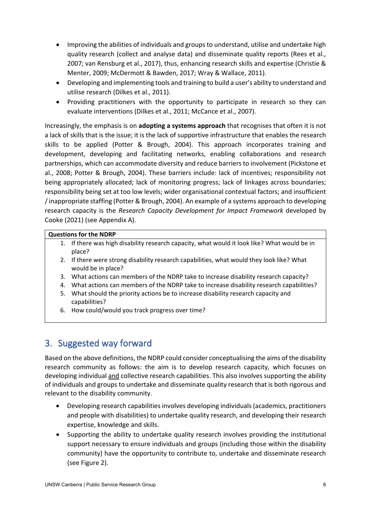- Improving the abilities of individuals and groups to understand, utilise and undertake high quality research (collect and analyse data) and disseminate quality reports (Rees et al., 2007; van Rensburg et al., 2017), thus, enhancing research skills and expertise (Christie & Menter, 2009; McDermott & Bawden, 2017; Wray & Wallace, 2011).
- Developing and implementing tools and training to build a user's ability to understand and utilise research (Dilkes et al., 2011).
- Providing practitioners with the opportunity to participate in research so they can evaluate interventions (Dilkes et al., 2011; McCance et al., 2007).

Increasingly, the emphasis is on **adopting a systems approach** that recognises that often it is not a lack of skills that is the issue; it is the lack of supportive infrastructure that enables the research skills to be applied (Potter & Brough, 2004). This approach incorporates training and development, developing and facilitating networks, enabling collaborations and research partnerships, which can accommodate diversity and reduce barriers to involvement (Pickstone et al., 2008; Potter & Brough, 2004). These barriers include: lack of incentives; responsibility not being appropriately allocated; lack of monitoring progress; lack of linkages across boundaries; responsibility being set at too low levels; wider organisational contextual factors; and insufficient / inappropriate staffing (Potter & Brough, 2004). An example of a systems approach to developing research capacity is the *Research Capacity Development for Impact Framework* developed by Cooke (2021) (see Appendix A).

#### **Questions for the NDRP**

- 1. If there was high disability research capacity, what would it look like? What would be in place?
- 2. If there were strong disability research capabilities, what would they look like? What would be in place?
- 3. What actions can members of the NDRP take to increase disability research capacity?
- 4. What actions can members of the NDRP take to increase disability research capabilities?
- 5. What should the priority actions be to increase disability research capacity and capabilities?
- 6. How could/would you track progress over time?

### <span id="page-7-0"></span>3. Suggested way forward

Based on the above definitions, the NDRP could consider conceptualising the aims of the disability research community as follows: the aim is to develop research capacity, which focuses on developing individual and collective research capabilities. This also involves supporting the ability of individuals and groups to undertake and disseminate quality research that is both rigorous and relevant to the disability community.

- Developing research capabilities involves developing individuals (academics, practitioners and people with disabilities) to undertake quality research, and developing their research expertise, knowledge and skills.
- Supporting the ability to undertake quality research involves providing the institutional support necessary to ensure individuals and groups (including those within the disability community) have the opportunity to contribute to, undertake and disseminate research (see Figure 2).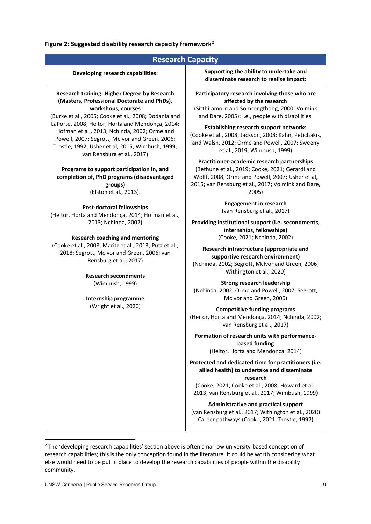**Figure 2: Suggested disability research capacity framework[2](#page-8-0)**

| <b>Research Capacity</b>                                                                                                                                                                                                                                                                                                                                                                                          |                                                                                                                                                                                                                        |  |  |  |
|-------------------------------------------------------------------------------------------------------------------------------------------------------------------------------------------------------------------------------------------------------------------------------------------------------------------------------------------------------------------------------------------------------------------|------------------------------------------------------------------------------------------------------------------------------------------------------------------------------------------------------------------------|--|--|--|
| Developing research capabilities:                                                                                                                                                                                                                                                                                                                                                                                 | Supporting the ability to undertake and<br>disseminate research to realise impact:                                                                                                                                     |  |  |  |
| Research training: Higher Degree by Research<br>(Masters, Professional Doctorate and PhDs),<br>workshops, courses<br>(Burke et al., 2005; Cooke et al., 2008; Dodania and<br>LaPorte, 2008; Heitor, Horta and Mendonça, 2014;<br>Hofman et al., 2013; Nchinda, 2002; Orme and<br>Powell, 2007; Segrott, McIvor and Green, 2006;<br>Trostle, 1992; Usher et al, 2015; Wimbush, 1999;<br>van Rensburg et al., 2017) | Participatory research involving those who are<br>affected by the research<br>(Sitthi-amorn and Somrongthong, 2000; Volmink<br>and Dare, 2005); i.e., people with disabilities.                                        |  |  |  |
|                                                                                                                                                                                                                                                                                                                                                                                                                   | <b>Establishing research support networks</b><br>(Cooke et al., 2008; Jackson, 2008; Kahn, Petichakis,<br>and Walsh, 2012; Orme and Powell, 2007; Sweeny<br>et al., 2019; Wimbush, 1999)                               |  |  |  |
| Programs to support participation in, and<br>completion of, PhD programs (disadvantaged<br>groups)<br>(Elston et al., 2013).                                                                                                                                                                                                                                                                                      | Practitioner-academic research partnerships<br>(Bethune et al., 2019; Cooke, 2021; Gerardi and<br>Wolff, 2008; Orme and Powell, 2007; Usher et al,<br>2015; van Rensburg et al., 2017; Volmink and Dare,<br>2005)      |  |  |  |
| <b>Post-doctoral fellowships</b><br>(Heitor, Horta and Mendonça, 2014; Hofman et al.,                                                                                                                                                                                                                                                                                                                             | <b>Engagement in research</b><br>(van Rensburg et al., 2017)                                                                                                                                                           |  |  |  |
| 2013; Nchinda, 2002)<br><b>Research coaching and mentoring</b>                                                                                                                                                                                                                                                                                                                                                    | Providing institutional support (i.e. secondments,<br>internships, fellowships)<br>(Cooke, 2021; Nchinda, 2002)                                                                                                        |  |  |  |
| (Cooke et al., 2008; Maritz et al., 2013; Putz et al.,<br>2018; Segrott, McIvor and Green, 2006; van<br>Rensburg et al., 2017)<br><b>Research secondments</b>                                                                                                                                                                                                                                                     | Research infrastructure (appropriate and<br>supportive research environment)<br>(Nchinda, 2002; Segrott, McIvor and Green, 2006;<br>Withington et al., 2020)                                                           |  |  |  |
| (Wimbush, 1999)<br>Internship programme                                                                                                                                                                                                                                                                                                                                                                           | <b>Strong research leadership</b><br>(Nchinda, 2002; Orme and Powell, 2007; Segrott,<br>McIvor and Green, 2006)                                                                                                        |  |  |  |
| (Wright et al., 2020)                                                                                                                                                                                                                                                                                                                                                                                             | <b>Competitive funding programs</b><br>(Heitor, Horta and Mendonça, 2014; Nchinda, 2002;<br>van Rensburg et al., 2017)                                                                                                 |  |  |  |
|                                                                                                                                                                                                                                                                                                                                                                                                                   | Formation of research units with performance-<br>based funding<br>(Heitor, Horta and Mendonça, 2014)                                                                                                                   |  |  |  |
|                                                                                                                                                                                                                                                                                                                                                                                                                   | Protected and dedicated time for practitioners (i.e.<br>allied health) to undertake and disseminate<br>research<br>(Cooke, 2021; Cooke et al., 2008; Howard et al.,<br>2013; van Rensburg et al., 2017; Wimbush, 1999) |  |  |  |
|                                                                                                                                                                                                                                                                                                                                                                                                                   | Administrative and practical support<br>(van Rensburg et al., 2017; Withington et al., 2020)<br>Career pathways (Cooke, 2021; Trostle, 1992)                                                                           |  |  |  |

<span id="page-8-0"></span><sup>&</sup>lt;sup>2</sup> The 'developing research capabilities' section above is often a narrow university-based conception of research capabilities; this is the only conception found in the literature. It could be worth considering what else would need to be put in place to develop the research capabilities of people within the disability community.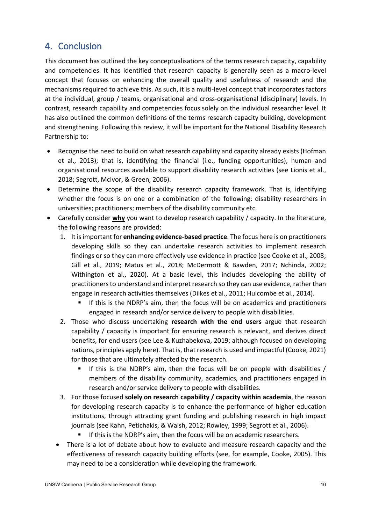## <span id="page-9-0"></span>4. Conclusion

This document has outlined the key conceptualisations of the terms research capacity, capability and competencies. It has identified that research capacity is generally seen as a macro-level concept that focuses on enhancing the overall quality and usefulness of research and the mechanisms required to achieve this. As such, it is a multi-level concept that incorporates factors at the individual, group / teams, organisational and cross-organisational (disciplinary) levels. In contrast, research capability and competencies focus solely on the individual researcher level. It has also outlined the common definitions of the terms research capacity building, development and strengthening. Following this review, it will be important for the National Disability Research Partnership to:

- Recognise the need to build on what research capability and capacity already exists (Hofman et al., 2013); that is, identifying the financial (i.e., funding opportunities), human and organisational resources available to support disability research activities (see Lionis et al., 2018; Segrott, McIvor, & Green, 2006).
- Determine the scope of the disability research capacity framework. That is, identifying whether the focus is on one or a combination of the following: disability researchers in universities; practitioners; members of the disability community etc.
- Carefully consider **why** you want to develop research capability / capacity. In the literature, the following reasons are provided:
	- 1. It is important for **enhancing evidence-based practice**. The focus here is on practitioners developing skills so they can undertake research activities to implement research findings or so they can more effectively use evidence in practice (see Cooke et al., 2008; Gill et al., 2019; Matus et al., 2018; McDermott & Bawden, 2017; Nchinda, 2002; Withington et al., 2020). At a basic level, this includes developing the ability of practitioners to understand and interpret research so they can use evidence, rather than engage in research activities themselves (Dilkes et al., 2011; Hulcombe et al., 2014).
		- If this is the NDRP's aim, then the focus will be on academics and practitioners engaged in research and/or service delivery to people with disabilities.
	- 2. Those who discuss undertaking **research with the end users** argue that research capability / capacity is important for ensuring research is relevant, and derives direct benefits, for end users (see Lee & Kuzhabekova, 2019; although focused on developing nations, principles apply here). That is, that research is used and impactful (Cooke, 2021) for those that are ultimately affected by the research.
		- If this is the NDRP's aim, then the focus will be on people with disabilities / members of the disability community, academics, and practitioners engaged in research and/or service delivery to people with disabilities.
	- 3. For those focused **solely on research capability / capacity within academia**, the reason for developing research capacity is to enhance the performance of higher education institutions, through attracting grant funding and publishing research in high impact journals (see Kahn, Petichakis, & Walsh, 2012; Rowley, 1999; Segrott et al., 2006).
		- **If this is the NDRP's aim, then the focus will be on academic researchers.**
	- There is a lot of debate about how to evaluate and measure research capacity and the effectiveness of research capacity building efforts (see, for example, Cooke, 2005). This may need to be a consideration while developing the framework.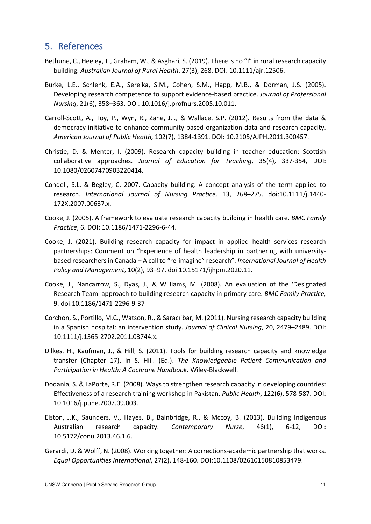#### <span id="page-10-0"></span>5. References

- Bethune, C., Heeley, T., Graham, W., & Asghari, S. (2019). There is no "I" in rural research capacity building. *Australian Journal of Rural Health*. 27(3), 268. DOI: 10.1111/ajr.12506.
- Burke, L.E., Schlenk, E.A., Sereika, S.M., Cohen, S.M., Happ, M.B., & Dorman, J.S. (2005). Developing research competence to support evidence-based practice. *Journal of Professional Nursing*, 21(6), 358–363. DOI: 10.1016/j.profnurs.2005.10.011.
- Carroll-Scott, A., Toy, P., Wyn, R., Zane, J.I., & Wallace, S.P. (2012). Results from the data & democracy initiative to enhance community-based organization data and research capacity. *American Journal of Public Health,* 102(7), 1384-1391. DOI: 10.2105/AJPH.2011.300457.
- Christie, D. & Menter, I. (2009). Research capacity building in teacher education: Scottish collaborative approaches. *Journal of Education for Teaching*, 35(4), 337-354, DOI: 10.1080/02607470903220414.
- Condell, S.L. & Begley, C. 2007. Capacity building: A concept analysis of the term applied to research. *International Journal of Nursing Practice,* 13, 268–275. doi:10.1111/j.1440- 172X.2007.00637.x.
- Cooke, J. (2005). A framework to evaluate research capacity building in health care. *BMC Family Practice*, 6. DOI: 10.1186/1471-2296-6-44.
- Cooke, J. (2021). Building research capacity for impact in applied health services research partnerships: Comment on "Experience of health leadership in partnering with universitybased researchers in Canada – A call to "re-imagine" research". *International Journal of Health Policy and Management*, 10(2), 93–97. doi 10.15171/ijhpm.2020.11.
- Cooke, J., Nancarrow, S., Dyas, J., & Williams, M. (2008). An evaluation of the 'Designated Research Team' approach to building research capacity in primary care. *BMC Family Practice,* 9. doi:10.1186/1471-2296-9-37
- Corchon, S., Portillo, M.C., Watson, R., & Saracı´bar, M. (2011). Nursing research capacity building in a Spanish hospital: an intervention study. *Journal of Clinical Nursing*, 20, 2479–2489. DOI: 10.1111/j.1365-2702.2011.03744.x.
- Dilkes, H., Kaufman, J., & Hill, S. (2011). Tools for building research capacity and knowledge transfer (Chapter 17). In S. Hill. (Ed.). *The Knowledgeable Patient Communication and Participation in Health: A Cochrane Handbook*. Wiley-Blackwell.
- Dodania, S. & LaPorte, R.E. (2008). Ways to strengthen research capacity in developing countries: Effectiveness of a research training workshop in Pakistan. *Public Health*, 122(6), 578-587. DOI: 10.1016/j.puhe.2007.09.003.
- Elston, J.K., Saunders, V., Hayes, B., Bainbridge, R., & Mccoy, B. (2013). Building Indigenous Australian research capacity. *Contemporary Nurse*, 46(1), 6-12, DOI: 10.5172/conu.2013.46.1.6.
- Gerardi, D. & Wolff, N. (2008). Working together: A corrections-academic partnership that works. *Equal Opportunities International*, 27(2), 148-160. DOI:10.1108/02610150810853479.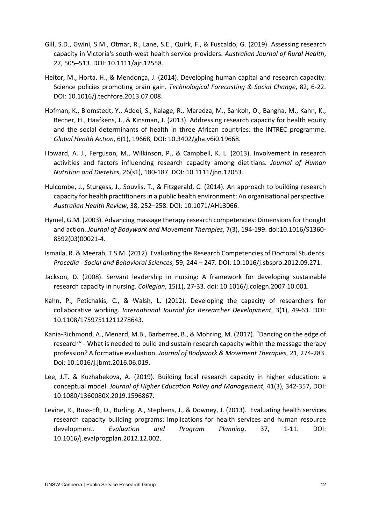- Gill, S.D., Gwini, S.M., Otmar, R., Lane, S.E., Quirk, F., & Fuscaldo, G. (2019). Assessing research capacity in Victoria's south-west health service providers. *Australian Journal of Rural Health*, 27, 505–513. DOI: 10.1111/ajr.12558.
- Heitor, M., Horta, H., & Mendonça, J. (2014). Developing human capital and research capacity: Science policies promoting brain gain. *Technological Forecasting & Social Change*, 82, 6-22. DOI: 10.1016/j.techfore.2013.07.008.
- Hofman, K., Blomstedt, Y., Addei, S., Kalage, R., Maredza, M., Sankoh, O., Bangha, M., Kahn, K., Becher, H., Haafkens, J., & Kinsman, J. (2013). Addressing research capacity for health equity and the social determinants of health in three African countries: the INTREC programme. *Global Health Action*, 6(1), 19668, DOI: 10.3402/gha.v6i0.19668.
- Howard, A. J., Ferguson, M., Wilkinson, P., & Campbell, K. L. (2013). Involvement in research activities and factors influencing research capacity among dietitians. *Journal of Human Nutrition and Dietetics*, 26(s1), 180-187. DOI: 10.1111/jhn.12053.
- Hulcombe, J., Sturgess, J., Souvlis, T., & Fitzgerald, C. (2014). An approach to building research capacity for health practitioners in a public health environment: An organisational perspective. *Australian Health Review*, 38, 252–258. DOI: 10.1071/AH13066.
- Hymel, G.M. (2003). Advancing massage therapy research competencies: Dimensions for thought and action. *Journal of Bodywork and Movement Therapies*, 7(3), 194-199. doi:10.1016/S1360- 8592(03)00021-4.
- Ismaila, R. & Meerah, T.S.M. (2012). Evaluating the Research Competencies of Doctoral Students. *Procedia - Social and Behavioral Sciences,* 59, 244 – 247. DOI: 10.1016/j.sbspro.2012.09.271.
- Jackson, D. (2008). Servant leadership in nursing: A framework for developing sustainable research capacity in nursing. *Collegian*, 15(1), 27-33. doi: 10.1016/j.colegn.2007.10.001.
- Kahn, P., Petichakis, C., & Walsh, L. (2012). Developing the capacity of researchers for collaborative working. *International Journal for Researcher Development*, 3(1), 49-63. DOI: 10.1108/17597511211278643.
- Kania-Richmond, A., Menard, M.B., Barberree, B., & Mohring, M. (2017). "Dancing on the edge of research" - What is needed to build and sustain research capacity within the massage therapy profession? A formative evaluation. *Journal of Bodywork & Movement Therapies,* 21, 274-283. Doi: 10.1016/j.jbmt.2016.06.019.
- Lee, J.T. & Kuzhabekova, A. (2019). Building local research capacity in higher education: a conceptual model. *Journal of Higher Education Policy and Management*, 41(3), 342-357, DOI: 10.1080/1360080X.2019.1596867.
- Levine, R., Russ-Eft, D., Burling, A., Stephens, J., & Downey, J. (2013). Evaluating health services research capacity building programs: Implications for health services and human resource development. *Evaluation and Program Planning*, 37, 1-11. DOI: 10.1016/j.evalprogplan.2012.12.002.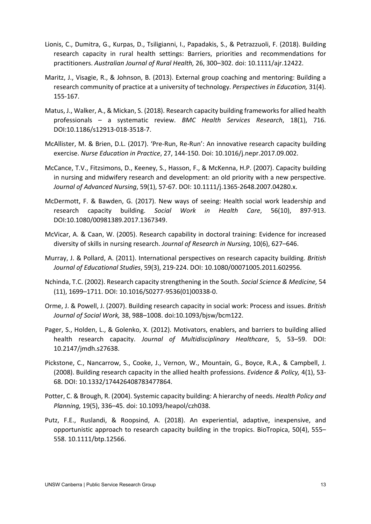- Lionis, C., Dumitra, G., Kurpas, D., Tsiligianni, I., Papadakis, S., & Petrazzuoli, F. (2018). Building research capacity in rural health settings: Barriers, priorities and recommendations for practitioners. *Australian Journal of Rural Health,* 26, 300–302. doi: 10.1111/ajr.12422.
- Maritz, J., Visagie, R., & Johnson, B. (2013). External group coaching and mentoring: Building a research community of practice at a university of technology. *Perspectives in Education,* 31(4). 155-167.
- Matus, J., Walker, A., & Mickan, S. (2018). Research capacity building frameworks for allied health professionals – a systematic review. *BMC Health Services Research*, 18(1), 716. DOI:10.1186/s12913-018-3518-7.
- McAllister, M. & Brien, D.L. (2017). 'Pre-Run, Re-Run': An innovative research capacity building exercise. *Nurse Education in Practice*, 27, 144-150. Doi: 10.1016/j.nepr.2017.09.002.
- McCance, T.V., Fitzsimons, D., Keeney, S., Hasson, F., & McKenna, H.P. (2007). Capacity building in nursing and midwifery research and development: an old priority with a new perspective. *Journal of Advanced Nursing*, 59(1), 57-67. DOI: 10.1111/j.1365-2648.2007.04280.x.
- McDermott, F. & Bawden, G. (2017). New ways of seeing: Health social work leadership and research capacity building. *Social Work in Health Care*, 56(10), 897-913. DOI:10.1080/00981389.2017.1367349.
- McVicar, A. & Caan, W. (2005). Research capability in doctoral training: Evidence for increased diversity of skills in nursing research. *Journal of Research in Nursing*, 10(6), 627–646.
- Murray, J. & Pollard, A. (2011). International perspectives on research capacity building. *British Journal of Educational Studies*, 59(3), 219-224. DOI: 10.1080/00071005.2011.602956.
- Nchinda, T.C. (2002). Research capacity strengthening in the South. *Social Science & Medicine,* 54 (11), 1699–1711. DOI: 10.1016/S0277-9536(01)00338-0.
- Orme, J. & Powell, J. (2007). Building research capacity in social work: Process and issues. *British Journal of Social Work,* 38, 988–1008. doi:10.1093/bjsw/bcm122.
- Pager, S., Holden, L., & Golenko, X. (2012). Motivators, enablers, and barriers to building allied health research capacity. *Journal of Multidisciplinary Healthcare*, 5, 53–59. DOI: 10.2147/jmdh.s27638.
- Pickstone, C., Nancarrow, S., Cooke, J., Vernon, W., Mountain, G., Boyce, R.A., & Campbell, J. (2008). Building research capacity in the allied health professions. *Evidence & Policy,* 4(1), 53- 68. DOI: 10.1332/174426408783477864.
- Potter, C. & Brough, R. (2004). Systemic capacity building: A hierarchy of needs. *Health Policy and Planning,* 19(5), 336–45. doi: 10.1093/heapol/czh038.
- Putz, F.E., Ruslandi, & Roopsind, A. (2018). An experiential, adaptive, inexpensive, and opportunistic approach to research capacity building in the tropics. BioTropica, 50(4), 555– 558. 10.1111/btp.12566.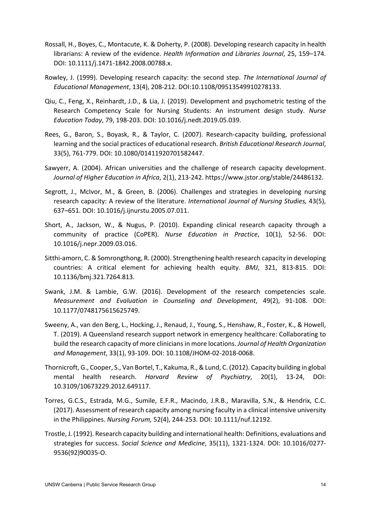- Rossall, H., Boyes, C., Montacute, K. & Doherty, P. (2008). Developing research capacity in health librarians: A review of the evidence. *Health Information and Libraries Journal*, 25, 159–174. DOI: 10.1111/j.1471-1842.2008.00788.x.
- Rowley, J. (1999). Developing research capacity: the second step. *The International Journal of Educational Management*, 13(4), 208-212. DOI:10.1108/09513549910278133.
- Qiu, C., Feng, X., Reinhardt, J.D., & Lia, J. (2019). Development and psychometric testing of the Research Competency Scale for Nursing Students: An instrument design study. *Nurse Education Today*, 79, 198-203. DOI: 10.1016/j.nedt.2019.05.039.
- Rees, G., Baron, S., Boyask, R., & Taylor, C. (2007). Research-capacity building, professional learning and the social practices of educational research. *British Educational Research Journal*, 33(5), 761-779. DOI: 10.1080/01411920701582447.
- Sawyerr, A. (2004). African universities and the challenge of research capacity development. *Journal of Higher Education in Africa*, 2(1), 213-242. https://www.jstor.org/stable/24486132.
- Segrott, J., McIvor, M., & Green, B. (2006). Challenges and strategies in developing nursing research capacity: A review of the literature. *International Journal of Nursing Studies,* 43(5), 637–651. DOI: 10.1016/j.ijnurstu.2005.07.011.
- Short, A., Jackson, W., & Nugus, P. (2010). Expanding clinical research capacity through a community of practice (CoPER). *Nurse Education in Practice*, 10(1), 52-56. DOI: 10.1016/j.nepr.2009.03.016.
- Sitthi-amorn, C. & Somrongthong, R. (2000). Strengthening health research capacity in developing countries: A critical element for achieving health equity. *BMJ*, 321, 813-815. DOI: 10.1136/bmj.321.7264.813.
- Swank, J.M. & Lambie, G.W. (2016). Development of the research competencies scale. *Measurement and Evaluation in Counseling and Development*, 49(2), 91-108. DOI: 10.1177/0748175615625749.
- Sweeny, A., van den Berg, L., Hocking, J., Renaud, J., Young, S., Henshaw, R., Foster, K., & Howell, T. (2019). A Queensland research support network in emergency healthcare: Collaborating to build the research capacity of more clinicians in more locations. *Journal of Health Organization and Management*, 33(1), 93-109. DOI: 10.1108/JHOM-02-2018-0068.
- Thornicroft, G., Cooper, S., Van Bortel, T., Kakuma, R.,& Lund, C. (2012). Capacity building in global mental health research. *Harvard Review of Psychiatry*, 20(1), 13-24, DOI: 10.3109/10673229.2012.649117.
- Torres, G.C.S., Estrada, M.G., Sumile, E.F.R., Macindo, J.R.B., Maravilla, S.N., & Hendrix, C.C. (2017). Assessment of research capacity among nursing faculty in a clinical intensive university in the Philippines. *Nursing Forum,* 52(4), 244-253. DOI: 10.1111/nuf.12192.
- Trostle, J. (1992). Research capacity building and international health: Definitions, evaluations and strategies for success. *Social Science and Medicine*, 35(11), 1321-1324. DOI: 10.1016/0277- 9536(92)90035-O.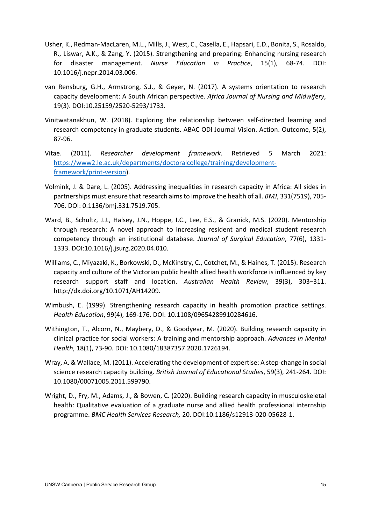- Usher, K., Redman-MacLaren, M.L., Mills, J., West, C., Casella, E., Hapsari, E.D., Bonita, S., Rosaldo, R., Liswar, A.K., & Zang, Y. (2015). Strengthening and preparing: Enhancing nursing research for disaster management. *Nurse Education in Practice*, 15(1), 68-74. DOI: 10.1016/j.nepr.2014.03.006.
- van Rensburg, G.H., Armstrong, S.J., & Geyer, N. (2017). A systems orientation to research capacity development: A South African perspective. *Africa Journal of Nursing and Midwifery*, 19(3). DOI:10.25159/2520-5293/1733.
- Vinitwatanakhun, W. (2018). Exploring the relationship between self-directed learning and research competency in graduate students. ABAC ODI Journal Vision. Action. Outcome, 5(2), 87-96.
- Vitae. (2011). *Researcher development framework*. Retrieved 5 March 2021: [https://www2.le.ac.uk/departments/doctoralcollege/training/development](https://www2.le.ac.uk/departments/doctoralcollege/training/development-framework/print-version)[framework/print-version\)](https://www2.le.ac.uk/departments/doctoralcollege/training/development-framework/print-version).
- Volmink, J. & Dare, L. (2005). Addressing inequalities in research capacity in Africa: All sides in partnerships must ensure that research aims to improve the health of all. *BMJ*, 331(7519), 705- 706. DOI: 0.1136/bmj.331.7519.705.
- Ward, B., Schultz, J.J., Halsey, J.N., Hoppe, I.C., Lee, E.S., & Granick, M.S. (2020). Mentorship through research: A novel approach to increasing resident and medical student research competency through an institutional database. *Journal of Surgical Education*, 77(6), 1331- 1333. DOI:10.1016/j.jsurg.2020.04.010.
- Williams, C., Miyazaki, K., Borkowski, D., McKinstry, C., Cotchet, M., & Haines, T. (2015). Research capacity and culture of the Victorian public health allied health workforce is influenced by key research support staff and location. *Australian Health Review*, 39(3), 303–311. http://dx.doi.org/10.1071/AH14209.
- Wimbush, E. (1999). Strengthening research capacity in health promotion practice settings. *Health Education*, 99(4), 169-176. DOI: 10.1108/09654289910284616.
- Withington, T., Alcorn, N., Maybery, D., & Goodyear, M. (2020). Building research capacity in clinical practice for social workers: A training and mentorship approach. *Advances in Mental Health*, 18(1), 73-90. DOI: 10.1080/18387357.2020.1726194.
- Wray, A. & Wallace, M. (2011). Accelerating the development of expertise: A step-change in social science research capacity building. *British Journal of Educational Studies*, 59(3), 241-264. DOI: 10.1080/00071005.2011.599790.
- Wright, D., Fry, M., Adams, J., & Bowen, C. (2020). Building research capacity in musculoskeletal health: Qualitative evaluation of a graduate nurse and allied health professional internship programme. *BMC Health Services Research,* 20. DOI:10.1186/s12913-020-05628-1.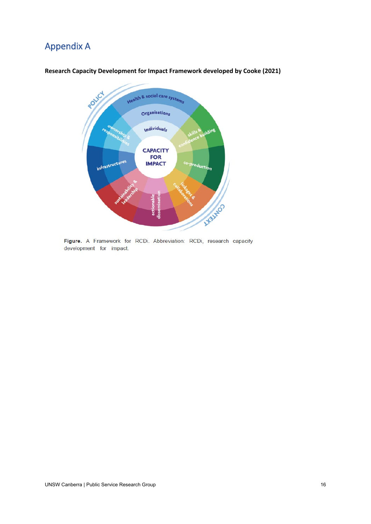## <span id="page-15-0"></span>Appendix A



**Research Capacity Development for Impact Framework developed by Cooke (2021)**

Figure. A Framework for RCDi. Abbreviation: RCDi, research capacity development for impact.